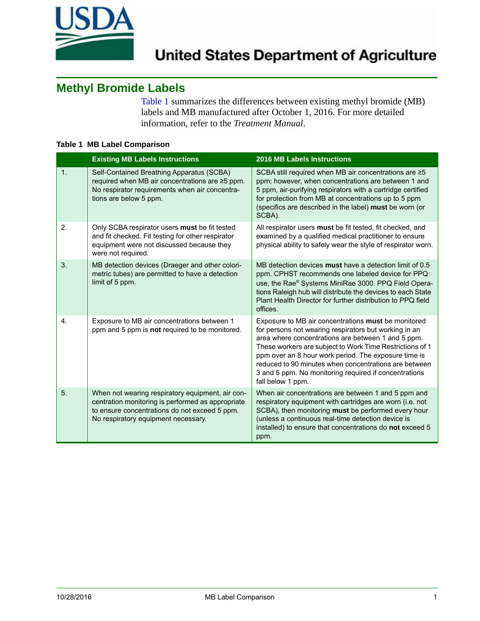

## **Methyl Bromide Labels**

[Table 1](#page-0-0) summarizes the differences between existing methyl bromide (MB) labels and MB manufactured after October 1, 2016. For more detailed information, refer to the *Treatment Manual*.

## <span id="page-0-0"></span>**Table 1 MB Label Comparison**

|    | <b>Existing MB Labels Instructions</b>                                                                                                                                                        | <b>2016 MB Labels Instructions</b>                                                                                                                                                                                                                                                                                                                                                                                            |
|----|-----------------------------------------------------------------------------------------------------------------------------------------------------------------------------------------------|-------------------------------------------------------------------------------------------------------------------------------------------------------------------------------------------------------------------------------------------------------------------------------------------------------------------------------------------------------------------------------------------------------------------------------|
| 1. | Self-Contained Breathing Apparatus (SCBA)<br>required when MB air concentrations are ≥5 ppm.<br>No respirator requirements when air concentra-<br>tions are below 5 ppm.                      | SCBA still required when MB air concentrations are ≥5<br>ppm; however, when concentrations are between 1 and<br>5 ppm, air-purifying respirators with a cartridge certified<br>for protection from MB at concentrations up to 5 ppm<br>(specifics are described in the label) must be worn (or<br>SCBA).                                                                                                                      |
| 2. | Only SCBA respirator users must be fit tested<br>and fit checked. Fit testing for other respirator<br>equipment were not discussed because they<br>were not required.                         | All respirator users must be fit tested, fit checked, and<br>examined by a qualified medical practitioner to ensure<br>physical ability to safely wear the style of respirator worn.                                                                                                                                                                                                                                          |
| 3. | MB detection devices (Draeger and other colori-<br>metric tubes) are permitted to have a detection<br>limit of 5 ppm.                                                                         | MB detection devices must have a detection limit of 0.5<br>ppm. CPHST recommends one labeled device for PPQ<br>use, the Rae® Systems MiniRae 3000. PPQ Field Opera-<br>tions Raleigh hub will distribute the devices to each State<br>Plant Health Director for further distribution to PPQ field<br>offices.                                                                                                                 |
| 4. | Exposure to MB air concentrations between 1<br>ppm and 5 ppm is not required to be monitored.                                                                                                 | Exposure to MB air concentrations must be monitored<br>for persons not wearing respirators but working in an<br>area where concentrations are between 1 and 5 ppm.<br>These workers are subject to Work Time Restrictions of 1<br>ppm over an 8 hour work period. The exposure time is<br>reduced to 90 minutes when concentrations are between<br>3 and 5 ppm. No monitoring required if concentrations<br>fall below 1 ppm. |
| 5. | When not wearing respiratory equipment, air con-<br>centration monitoring is performed as appropriate<br>to ensure concentrations do not exceed 5 ppm.<br>No respiratory equipment necessary. | When air concentrations are between 1 and 5 ppm and<br>respiratory equipment with cartridges are worn (i.e. not<br>SCBA), then monitoring must be performed every hour<br>(unless a continuous real-time detection device is<br>installed) to ensure that concentrations do not exceed 5<br>ppm.                                                                                                                              |